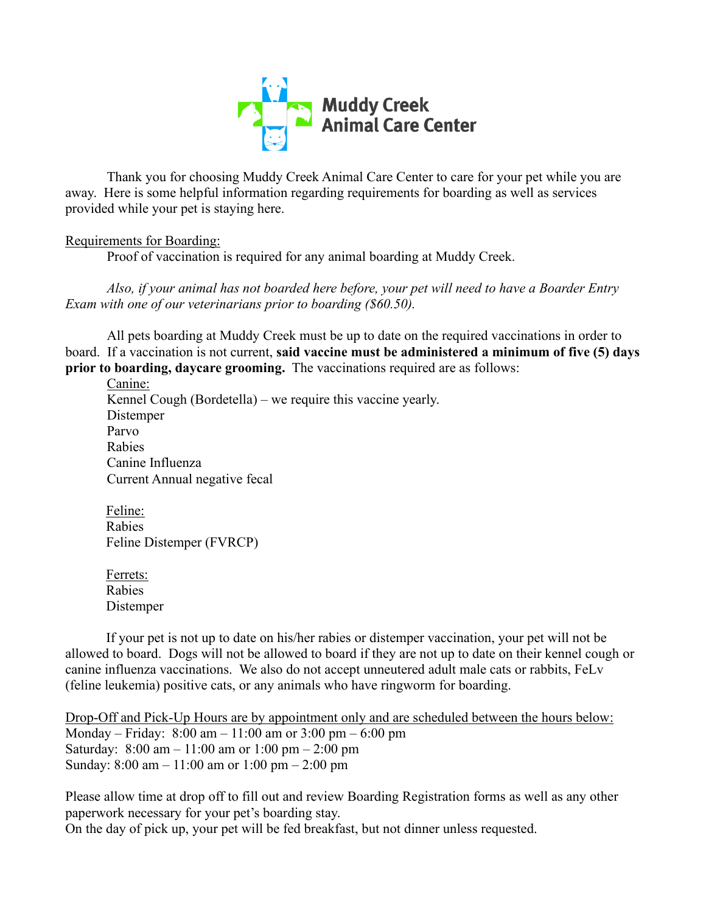

Thank you for choosing Muddy Creek Animal Care Center to care for your pet while you are away. Here is some helpful information regarding requirements for boarding as well as services provided while your pet is staying here.

# Requirements for Boarding:

Proof of vaccination is required for any animal boarding at Muddy Creek.

*Also, if your animal has not boarded here before, your pet will need to have a Boarder Entry Exam with one of our veterinarians prior to boarding (\$60.50).*

All pets boarding at Muddy Creek must be up to date on the required vaccinations in order to board. If a vaccination is not current, **said vaccine must be administered a minimum of five (5) days prior to boarding, daycare grooming.** The vaccinations required are as follows:

Canine: Kennel Cough (Bordetella) – we require this vaccine yearly. Distemper Parvo Rabies Canine Influenza Current Annual negative fecal

Feline: Rabies Feline Distemper (FVRCP)

Ferrets: Rabies Distemper

If your pet is not up to date on his/her rabies or distemper vaccination, your pet will not be allowed to board. Dogs will not be allowed to board if they are not up to date on their kennel cough or canine influenza vaccinations. We also do not accept unneutered adult male cats or rabbits, FeLv (feline leukemia) positive cats, or any animals who have ringworm for boarding.

Drop-Off and Pick-Up Hours are by appointment only and are scheduled between the hours below: Monday – Friday: 8:00 am – 11:00 am or 3:00 pm – 6:00 pm Saturday: 8:00 am – 11:00 am or 1:00 pm – 2:00 pm Sunday: 8:00 am – 11:00 am or 1:00 pm – 2:00 pm

Please allow time at drop off to fill out and review Boarding Registration forms as well as any other paperwork necessary for your pet's boarding stay. On the day of pick up, your pet will be fed breakfast, but not dinner unless requested.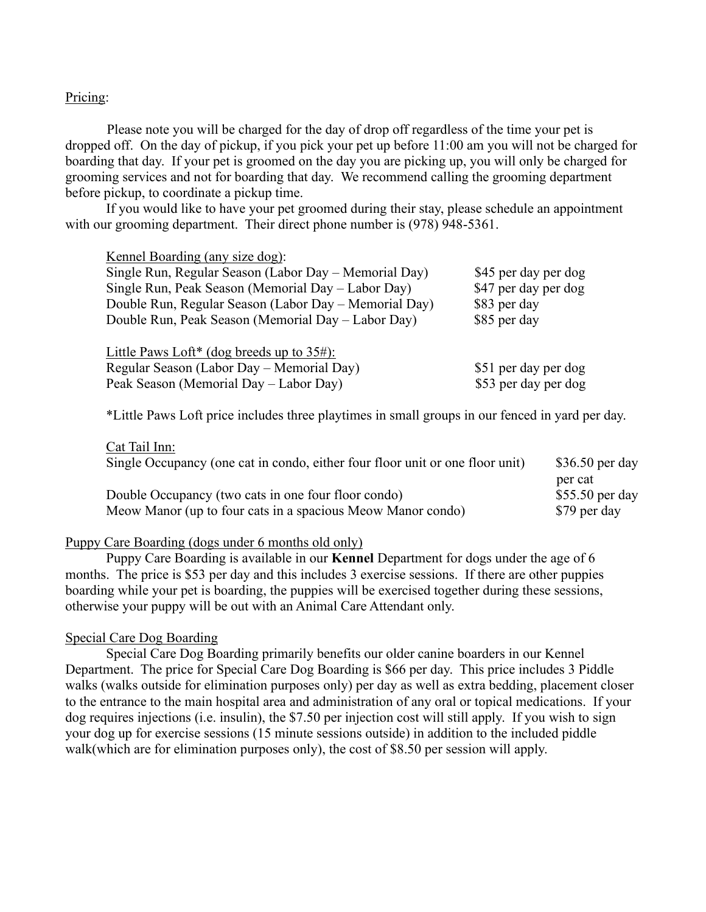### Pricing:

Please note you will be charged for the day of drop off regardless of the time your pet is dropped off. On the day of pickup, if you pick your pet up before 11:00 am you will not be charged for boarding that day. If your pet is groomed on the day you are picking up, you will only be charged for grooming services and not for boarding that day. We recommend calling the grooming department before pickup, to coordinate a pickup time.

If you would like to have your pet groomed during their stay, please schedule an appointment with our grooming department. Their direct phone number is (978) 948-5361.

Kennel Boarding (any size dog): Single Run, Regular Season (Labor Day – Memorial Day) \$45 per day per dog Single Run, Peak Season (Memorial Day – Labor Day) \$47 per day per dog Double Run, Regular Season (Labor Day – Memorial Day) \$83 per day Double Run, Peak Season (Memorial Day – Labor Day) \$85 per day Little Paws Loft\* (dog breeds up to 35#): Regular Season (Labor Day – Memorial Day) \$51 per day per dog Peak Season (Memorial Day – Labor Day) \$53 per day per dog

\*Little Paws Loft price includes three playtimes in small groups in our fenced in yard per day.

| Cat Tail Inn:                                                                 |                  |
|-------------------------------------------------------------------------------|------------------|
| Single Occupancy (one cat in condo, either four floor unit or one floor unit) | $$36.50$ per day |
|                                                                               | per cat          |
| Double Occupancy (two cats in one four floor condo)                           | $$55.50$ per day |
| Meow Manor (up to four cats in a spacious Meow Manor condo)                   | \$79 per day     |

#### Puppy Care Boarding (dogs under 6 months old only)

Puppy Care Boarding is available in our **Kennel** Department for dogs under the age of 6 months. The price is \$53 per day and this includes 3 exercise sessions. If there are other puppies boarding while your pet is boarding, the puppies will be exercised together during these sessions, otherwise your puppy will be out with an Animal Care Attendant only.

#### Special Care Dog Boarding

Special Care Dog Boarding primarily benefits our older canine boarders in our Kennel Department. The price for Special Care Dog Boarding is \$66 per day. This price includes 3 Piddle walks (walks outside for elimination purposes only) per day as well as extra bedding, placement closer to the entrance to the main hospital area and administration of any oral or topical medications. If your dog requires injections (i.e. insulin), the \$7.50 per injection cost will still apply. If you wish to sign your dog up for exercise sessions (15 minute sessions outside) in addition to the included piddle walk(which are for elimination purposes only), the cost of \$8.50 per session will apply.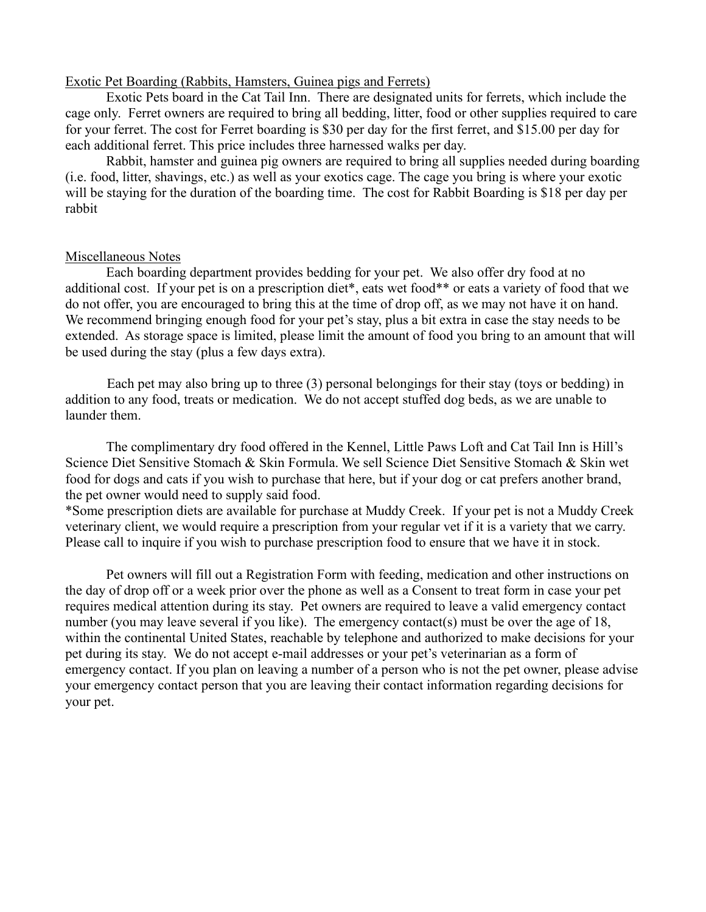### Exotic Pet Boarding (Rabbits, Hamsters, Guinea pigs and Ferrets)

Exotic Pets board in the Cat Tail Inn. There are designated units for ferrets, which include the cage only. Ferret owners are required to bring all bedding, litter, food or other supplies required to care for your ferret. The cost for Ferret boarding is \$30 per day for the first ferret, and \$15.00 per day for each additional ferret. This price includes three harnessed walks per day.

Rabbit, hamster and guinea pig owners are required to bring all supplies needed during boarding (i.e. food, litter, shavings, etc.) as well as your exotics cage. The cage you bring is where your exotic will be staying for the duration of the boarding time. The cost for Rabbit Boarding is \$18 per day per rabbit

#### Miscellaneous Notes

Each boarding department provides bedding for your pet. We also offer dry food at no additional cost. If your pet is on a prescription diet\*, eats wet food\*\* or eats a variety of food that we do not offer, you are encouraged to bring this at the time of drop off, as we may not have it on hand. We recommend bringing enough food for your pet's stay, plus a bit extra in case the stay needs to be extended. As storage space is limited, please limit the amount of food you bring to an amount that will be used during the stay (plus a few days extra).

Each pet may also bring up to three (3) personal belongings for their stay (toys or bedding) in addition to any food, treats or medication. We do not accept stuffed dog beds, as we are unable to launder them.

The complimentary dry food offered in the Kennel, Little Paws Loft and Cat Tail Inn is Hill's Science Diet Sensitive Stomach & Skin Formula. We sell Science Diet Sensitive Stomach & Skin wet food for dogs and cats if you wish to purchase that here, but if your dog or cat prefers another brand, the pet owner would need to supply said food.

\*Some prescription diets are available for purchase at Muddy Creek. If your pet is not a Muddy Creek veterinary client, we would require a prescription from your regular vet if it is a variety that we carry. Please call to inquire if you wish to purchase prescription food to ensure that we have it in stock.

Pet owners will fill out a Registration Form with feeding, medication and other instructions on the day of drop off or a week prior over the phone as well as a Consent to treat form in case your pet requires medical attention during its stay. Pet owners are required to leave a valid emergency contact number (you may leave several if you like). The emergency contact(s) must be over the age of 18, within the continental United States, reachable by telephone and authorized to make decisions for your pet during its stay. We do not accept e-mail addresses or your pet's veterinarian as a form of emergency contact. If you plan on leaving a number of a person who is not the pet owner, please advise your emergency contact person that you are leaving their contact information regarding decisions for your pet.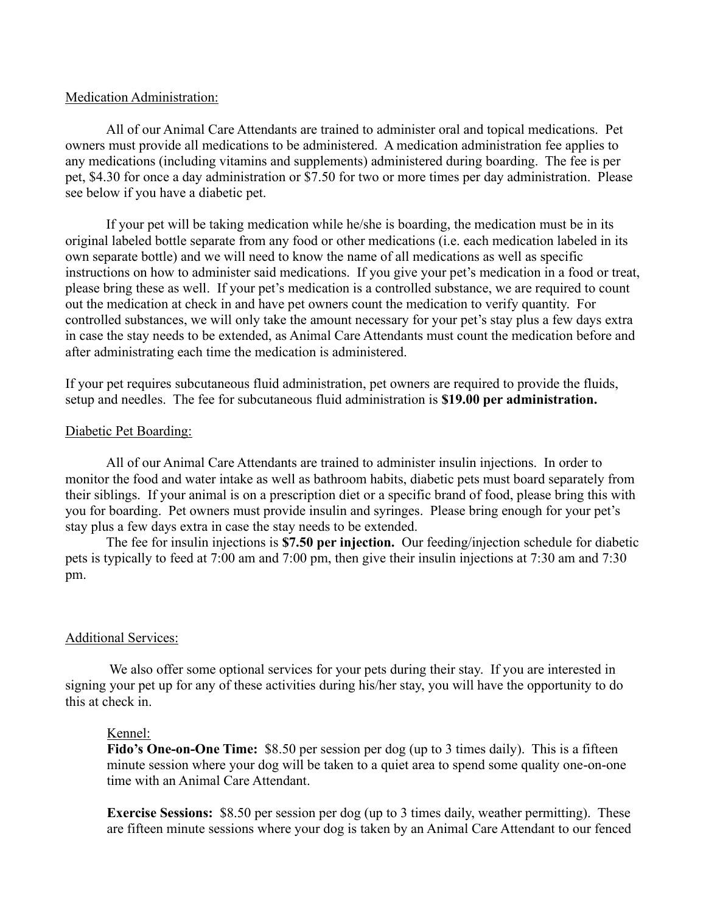#### Medication Administration:

All of our Animal Care Attendants are trained to administer oral and topical medications. Pet owners must provide all medications to be administered. A medication administration fee applies to any medications (including vitamins and supplements) administered during boarding. The fee is per pet, \$4.30 for once a day administration or \$7.50 for two or more times per day administration. Please see below if you have a diabetic pet.

If your pet will be taking medication while he/she is boarding, the medication must be in its original labeled bottle separate from any food or other medications (i.e. each medication labeled in its own separate bottle) and we will need to know the name of all medications as well as specific instructions on how to administer said medications. If you give your pet's medication in a food or treat, please bring these as well. If your pet's medication is a controlled substance, we are required to count out the medication at check in and have pet owners count the medication to verify quantity. For controlled substances, we will only take the amount necessary for your pet's stay plus a few days extra in case the stay needs to be extended, as Animal Care Attendants must count the medication before and after administrating each time the medication is administered.

If your pet requires subcutaneous fluid administration, pet owners are required to provide the fluids, setup and needles. The fee for subcutaneous fluid administration is **\$19.00 per administration.**

#### Diabetic Pet Boarding:

All of our Animal Care Attendants are trained to administer insulin injections. In order to monitor the food and water intake as well as bathroom habits, diabetic pets must board separately from their siblings. If your animal is on a prescription diet or a specific brand of food, please bring this with you for boarding. Pet owners must provide insulin and syringes. Please bring enough for your pet's stay plus a few days extra in case the stay needs to be extended.

The fee for insulin injections is **\$7.50 per injection.** Our feeding/injection schedule for diabetic pets is typically to feed at 7:00 am and 7:00 pm, then give their insulin injections at 7:30 am and 7:30 pm.

#### Additional Services:

We also offer some optional services for your pets during their stay. If you are interested in signing your pet up for any of these activities during his/her stay, you will have the opportunity to do this at check in.

#### Kennel:

**Fido's One-on-One Time:** \$8.50 per session per dog (up to 3 times daily). This is a fifteen minute session where your dog will be taken to a quiet area to spend some quality one-on-one time with an Animal Care Attendant.

**Exercise Sessions:** \$8.50 per session per dog (up to 3 times daily, weather permitting). These are fifteen minute sessions where your dog is taken by an Animal Care Attendant to our fenced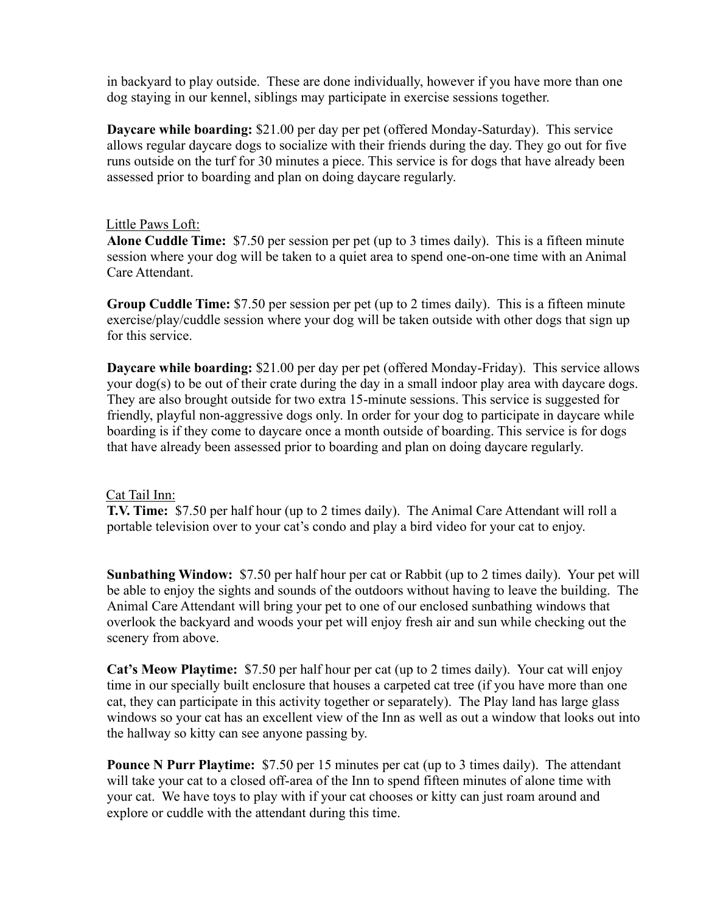in backyard to play outside. These are done individually, however if you have more than one dog staying in our kennel, siblings may participate in exercise sessions together.

**Daycare while boarding:** \$21.00 per day per pet (offered Monday-Saturday). This service allows regular daycare dogs to socialize with their friends during the day. They go out for five runs outside on the turf for 30 minutes a piece. This service is for dogs that have already been assessed prior to boarding and plan on doing daycare regularly.

# Little Paws Loft:

**Alone Cuddle Time:** \$7.50 per session per pet (up to 3 times daily). This is a fifteen minute session where your dog will be taken to a quiet area to spend one-on-one time with an Animal Care Attendant.

**Group Cuddle Time:** \$7.50 per session per pet (up to 2 times daily). This is a fifteen minute exercise/play/cuddle session where your dog will be taken outside with other dogs that sign up for this service.

**Daycare while boarding:** \$21.00 per day per pet (offered Monday-Friday). This service allows your dog(s) to be out of their crate during the day in a small indoor play area with daycare dogs. They are also brought outside for two extra 15-minute sessions. This service is suggested for friendly, playful non-aggressive dogs only. In order for your dog to participate in daycare while boarding is if they come to daycare once a month outside of boarding. This service is for dogs that have already been assessed prior to boarding and plan on doing daycare regularly.

# Cat Tail Inn:

**T.V. Time:** \$7.50 per half hour (up to 2 times daily). The Animal Care Attendant will roll a portable television over to your cat's condo and play a bird video for your cat to enjoy.

**Sunbathing Window:** \$7.50 per half hour per cat or Rabbit (up to 2 times daily). Your pet will be able to enjoy the sights and sounds of the outdoors without having to leave the building. The Animal Care Attendant will bring your pet to one of our enclosed sunbathing windows that overlook the backyard and woods your pet will enjoy fresh air and sun while checking out the scenery from above.

**Cat's Meow Playtime:** \$7.50 per half hour per cat (up to 2 times daily). Your cat will enjoy time in our specially built enclosure that houses a carpeted cat tree (if you have more than one cat, they can participate in this activity together or separately). The Play land has large glass windows so your cat has an excellent view of the Inn as well as out a window that looks out into the hallway so kitty can see anyone passing by.

**Pounce N Purr Playtime:** \$7.50 per 15 minutes per cat (up to 3 times daily). The attendant will take your cat to a closed off-area of the Inn to spend fifteen minutes of alone time with your cat. We have toys to play with if your cat chooses or kitty can just roam around and explore or cuddle with the attendant during this time.